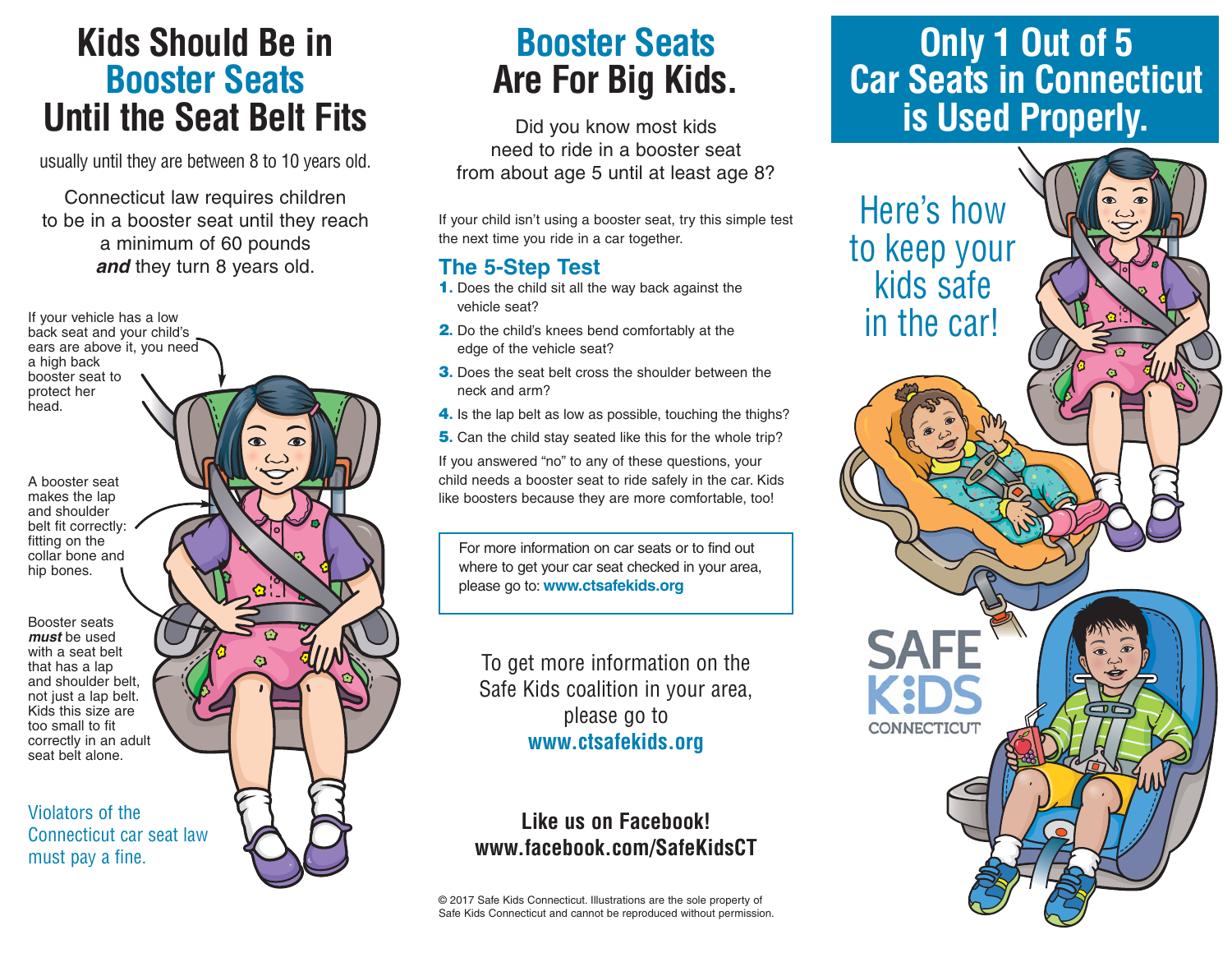### **Kids Should Be in Booster Seats Until the Seat Belt Fits**

usually until they are between 8 to 10 years old.

Connecticut law requires children to be in a booster seat until they reach a minimum of 60 pounds **and** they turn 8 years old.

ears are above it, you need a high back booster seat to protect her head. A booster seat makes the lap and shoulder belt fit correctly: fitting on the collar bone and hip bones.

If your vehicle has a low back seat and your child's

Booster seats **must** be used with a seat belt that has a lap and shoulder belt, not just a lap belt. Kids this size are too small to fit correctly in an adult seat belt alone.

Violators of the Connecticut car seat law must pay a fine.

## **Booster Seats Are For Big Kids.**

Did you know most kids need to ride in a booster seat from about age 5 until at least age 8?

If your child isn't using a booster seat, try this simple test the next time you ride in a car together.

#### **The 5-Step Test**

- **1.** Does the child sit all the way back against the vehicle seat?
- **2.** Do the child's knees bend comfortably at the edge of the vehicle seat?
- **3.** Does the seat belt cross the shoulder between the neck and arm?
- **4.** Is the lap belt as low as possible, touching the thighs?
- **5.** Can the child stay seated like this for the whole trip?

If you answered "no" to any of these questions, your child needs a booster seat to ride safely in the car. Kids like boosters because they are more comfortable, too!

For more information on car seats or to find out where to get your car seat checked in your area, please go to: **www.ctsafekids.org**

To get more information on the Safe Kids coalition in your area, please go to **www.ctsafekids.org**

#### **Like us on Facebook! www.facebook.com/SafeKidsCT**

© 2017 Safe Kids Connecticut. Illustrations are the sole property of Safe Kids Connecticut and cannot be reproduced without permission.

### **Only 1 Out of 5 Car Seats in Connecticut is Used Properly.**

Here's how to keep your kids safe in the car!

**CONNECTICUT**